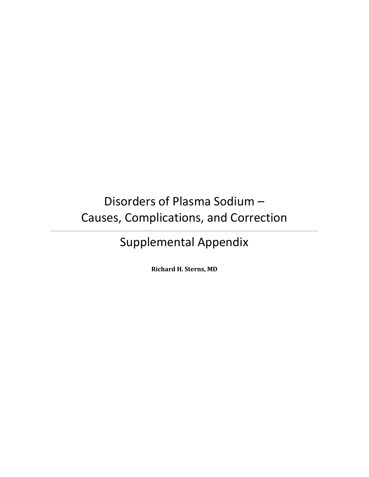# Disorders of Plasma Sodium – Causes, Complications, and Correction

# Supplemental Appendix

**Richard H. Sterns, MD**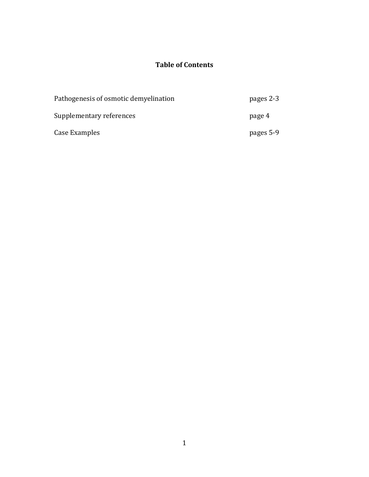# **Table of Contents**

| Pathogenesis of osmotic demyelination | pages 2-3 |
|---------------------------------------|-----------|
| Supplementary references              | page 4    |
| Case Examples                         | pages 5-9 |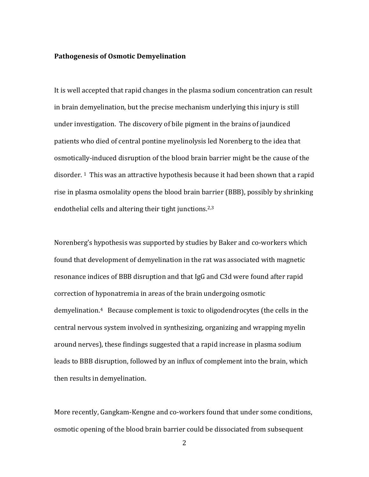### **Pathogenesis of Osmotic Demyelination**

It is well accepted that rapid changes in the plasma sodium concentration can result in brain demyelination, but the precise mechanism underlying this injury is still under investigation. The discovery of bile pigment in the brains of jaundiced patients who died of central pontine myelinolysis led Norenberg to the idea that osmotically-induced disruption of the blood brain barrier might be the cause of the disorder. <sup>1</sup>This was an attractive hypothesis because it had been shown that a rapid rise in plasma osmolality opens the blood brain barrier (BBB), possibly by shrinking endothelial cells and altering their tight junctions.<sup>2,3</sup>

Norenberg's hypothesis was supported by studies by Baker and co-workers which found that development of demyelination in the rat was associated with magnetic resonance indices of BBB disruption and that IgG and C3d were found after rapid correction of hyponatremia in areas of the brain undergoing osmotic demyelination. <sup>4</sup> Because complement is toxic to oligodendrocytes (the cells in the central nervous system involved in synthesizing, organizing and wrapping myelin around nerves), these findings suggested that a rapid increase in plasma sodium leads to BBB disruption, followed by an influx of complement into the brain, which then results in demyelination.

More recently, Gangkam-Kengne and co-workers found that under some conditions, osmotic opening of the blood brain barrier could be dissociated from subsequent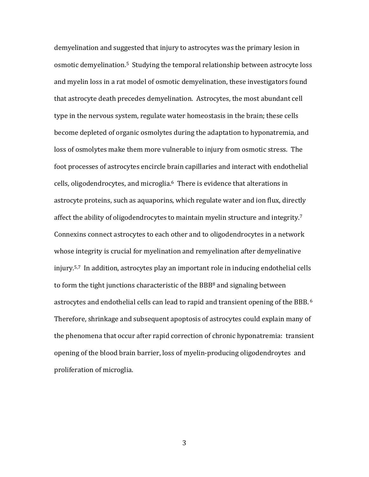demyelination and suggested that injury to astrocytes was the primary lesion in osmotic demyelination. <sup>5</sup> Studying the temporal relationship between astrocyte loss and myelin loss in a rat model of osmotic demyelination, these investigators found that astrocyte death precedes demyelination. Astrocytes, the most abundant cell type in the nervous system, regulate water homeostasis in the brain; these cells become depleted of organic osmolytes during the adaptation to hyponatremia, and loss of osmolytes make them more vulnerable to injury from osmotic stress. The foot processes of astrocytes encircle brain capillaries and interact with endothelial cells, oligodendrocytes, and microglia.6 There is evidence that alterations in astrocyte proteins, such as aquaporins, which regulate water and ion flux, directly affect the ability of oligodendrocytes to maintain myelin structure and integrity.<sup>7</sup> Connexins connect astrocytes to each other and to oligodendrocytes in a network whose integrity is crucial for myelination and remyelination after demyelinative injury.5,7 In addition, astrocytes play an important role in inducing endothelial cells to form the tight junctions characteristic of the  $BBB<sup>8</sup>$  and signaling between astrocytes and endothelial cells can lead to rapid and transient opening of the BBB. <sup>6</sup> Therefore, shrinkage and subsequent apoptosis of astrocytes could explain many of the phenomena that occur after rapid correction of chronic hyponatremia: transient opening of the blood brain barrier, loss of myelin-producing oligodendroytes and proliferation of microglia.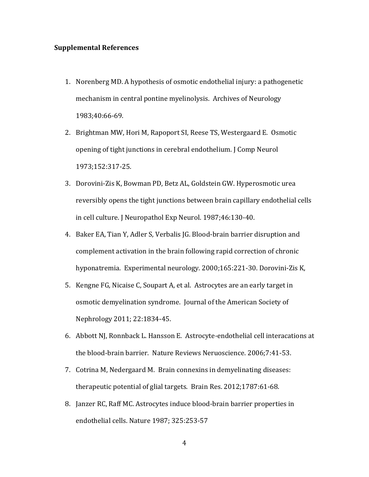#### **Supplemental References**

- 1. Norenberg MD. A hypothesis of osmotic endothelial injury: a pathogenetic mechanism in central pontine myelinolysis. Archives of Neurology 1983;40:66-69.
- 2. Brightman MW, Hori M, Rapoport SI, Reese TS, Westergaard E. Osmotic opening of tight junctions in cerebral endothelium. J Comp Neurol 1973;152:317-25.
- 3. Dorovini-Zis K, Bowman PD, Betz AL, Goldstein GW. Hyperosmotic urea reversibly opens the tight junctions between brain capillary endothelial cells in cell culture. J Neuropathol Exp Neurol. 1987;46:130-40.
- 4. Baker EA, Tian Y, Adler S, Verbalis JG. Blood-brain barrier disruption and complement activation in the brain following rapid correction of chronic hyponatremia. Experimental neurology. 2000;165:221-30. Dorovini-Zis K,
- 5. Kengne FG, Nicaise C, Soupart A, et al. Astrocytes are an early target in osmotic demyelination syndrome. Journal of the American Society of Nephrology 2011; 22:1834-45.
- 6. Abbott NJ, Ronnback L. Hansson E. Astrocyte-endothelial cell interacations at the blood-brain barrier. Nature Reviews Neruoscience. 2006;7:41-53.
- 7. Cotrina M, Nedergaard M. Brain connexins in demyelinating diseases: therapeutic potential of glial targets. Brain Res. 2012;1787:61-68.
- 8. Janzer RC, Raff MC. Astrocytes induce blood-brain barrier properties in endothelial cells. Nature 1987; 325:253-57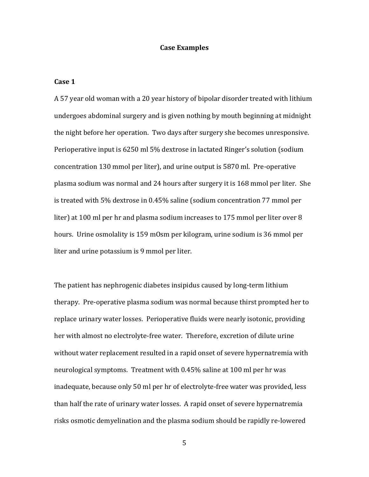#### **Case Examples**

#### **Case 1**

A 57 year old woman with a 20 year history of bipolar disorder treated with lithium undergoes abdominal surgery and is given nothing by mouth beginning at midnight the night before her operation. Two days after surgery she becomes unresponsive. Perioperative input is 6250 ml 5% dextrose in lactated Ringer's solution (sodium concentration 130 mmol per liter), and urine output is 5870 ml. Pre-operative plasma sodium was normal and 24 hours after surgery it is 168 mmol per liter. She is treated with 5% dextrose in 0.45% saline (sodium concentration 77 mmol per liter) at 100 ml per hr and plasma sodium increases to 175 mmol per liter over 8 hours. Urine osmolality is 159 mOsm per kilogram, urine sodium is 36 mmol per liter and urine potassium is 9 mmol per liter.

The patient has nephrogenic diabetes insipidus caused by long-term lithium therapy. Pre-operative plasma sodium was normal because thirst prompted her to replace urinary water losses. Perioperative fluids were nearly isotonic, providing her with almost no electrolyte-free water. Therefore, excretion of dilute urine without water replacement resulted in a rapid onset of severe hypernatremia with neurological symptoms. Treatment with 0.45% saline at 100 ml per hr was inadequate, because only 50 ml per hr of electrolyte-free water was provided, less than half the rate of urinary water losses. A rapid onset of severe hypernatremia risks osmotic demyelination and the plasma sodium should be rapidly re-lowered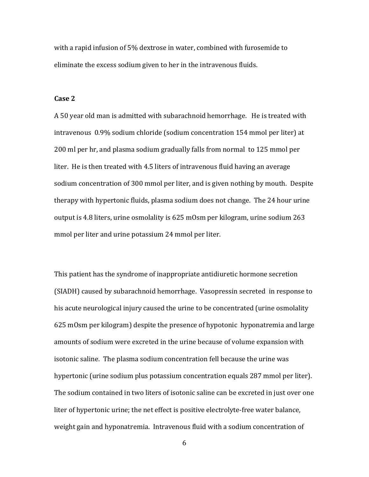with a rapid infusion of 5% dextrose in water, combined with furosemide to eliminate the excess sodium given to her in the intravenous fluids.

#### **Case 2**

A 50 year old man is admitted with subarachnoid hemorrhage. He is treated with intravenous 0.9% sodium chloride (sodium concentration 154 mmol per liter) at 200 ml per hr, and plasma sodium gradually falls from normal to 125 mmol per liter. He is then treated with 4.5 liters of intravenous fluid having an average sodium concentration of 300 mmol per liter, and is given nothing by mouth. Despite therapy with hypertonic fluids, plasma sodium does not change. The 24 hour urine output is 4.8 liters, urine osmolality is 625 mOsm per kilogram, urine sodium 263 mmol per liter and urine potassium 24 mmol per liter.

This patient has the syndrome of inappropriate antidiuretic hormone secretion (SIADH) caused by subarachnoid hemorrhage. Vasopressin secreted in response to his acute neurological injury caused the urine to be concentrated (urine osmolality 625 mOsm per kilogram) despite the presence of hypotonic hyponatremia and large amounts of sodium were excreted in the urine because of volume expansion with isotonic saline. The plasma sodium concentration fell because the urine was hypertonic (urine sodium plus potassium concentration equals 287 mmol per liter). The sodium contained in two liters of isotonic saline can be excreted in just over one liter of hypertonic urine; the net effect is positive electrolyte-free water balance, weight gain and hyponatremia. Intravenous fluid with a sodium concentration of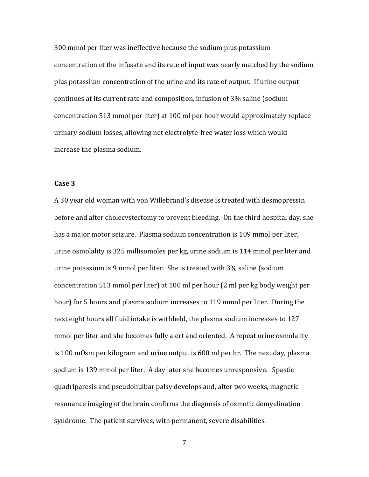300 mmol per liter was ineffective because the sodium plus potassium concentration of the infusate and its rate of input was nearly matched by the sodium plus potassium concentration of the urine and its rate of output. If urine output continues at its current rate and composition, infusion of 3% saline (sodium concentration 513 mmol per liter) at 100 ml per hour would approximately replace urinary sodium losses, allowing net electrolyte-free water loss which would increase the plasma sodium.

## **Case 3**

A 30 year old woman with von Willebrand's disease is treated with desmopressin before and after cholecystectomy to prevent bleeding. On the third hospital day, she has a major motor seizure. Plasma sodium concentration is 109 mmol per liter, urine osmolality is 325 millisomoles per kg, urine sodium is 114 mmol per liter and urine potassium is 9 mmol per liter. She is treated with 3% saline (sodium concentration 513 mmol per liter) at 100 ml per hour (2 ml per kg body weight per hour) for 5 hours and plasma sodium increases to 119 mmol per liter. During the next eight hours all fluid intake is withheld, the plasma sodium increases to 127 mmol per liter and she becomes fully alert and oriented. A repeat urine osmolality is 100 mOsm per kilogram and urine output is 600 ml per hr. The next day, plasma sodium is 139 mmol per liter. A day later she becomes unresponsive. Spastic quadriparesis and pseudobulbar palsy develops and, after two weeks, magnetic resonance imaging of the brain confirms the diagnosis of osmotic demyelination syndrome. The patient survives, with permanent, severe disabilities.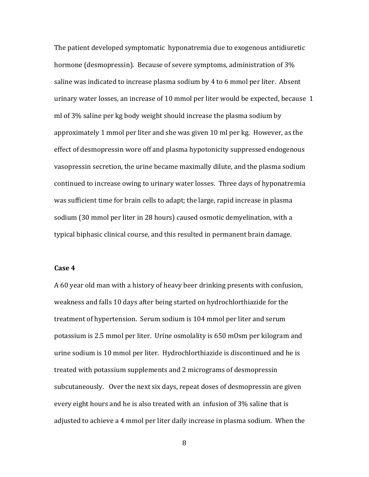The patient developed symptomatic hyponatremia due to exogenous antidiuretic hormone (desmopressin). Because of severe symptoms, administration of 3% saline was indicated to increase plasma sodium by 4 to 6 mmol per liter. Absent urinary water losses, an increase of 10 mmol per liter would be expected, because 1 ml of 3% saline per kg body weight should increase the plasma sodium by approximately 1 mmol per liter and she was given 10 ml per kg. However, as the effect of desmopressin wore off and plasma hypotonicity suppressed endogenous vasopressin secretion, the urine became maximally dilute, and the plasma sodium continued to increase owing to urinary water losses. Three days of hyponatremia was sufficient time for brain cells to adapt; the large, rapid increase in plasma sodium (30 mmol per liter in 28 hours) caused osmotic demyelination, with a typical biphasic clinical course, and this resulted in permanent brain damage.

### **Case 4**

A 60 year old man with a history of heavy beer drinking presents with confusion, weakness and falls 10 days after being started on hydrochlorthiazide for the treatment of hypertension. Serum sodium is 104 mmol per liter and serum potassium is 2.5 mmol per liter. Urine osmolality is 650 mOsm per kilogram and urine sodium is 10 mmol per liter. Hydrochlorthiazide is discontinued and he is treated with potassium supplements and 2 micrograms of desmopressin subcutaneously. Over the next six days, repeat doses of desmopressin are given every eight hours and he is also treated with an infusion of 3% saline that is adjusted to achieve a 4 mmol per liter daily increase in plasma sodium. When the